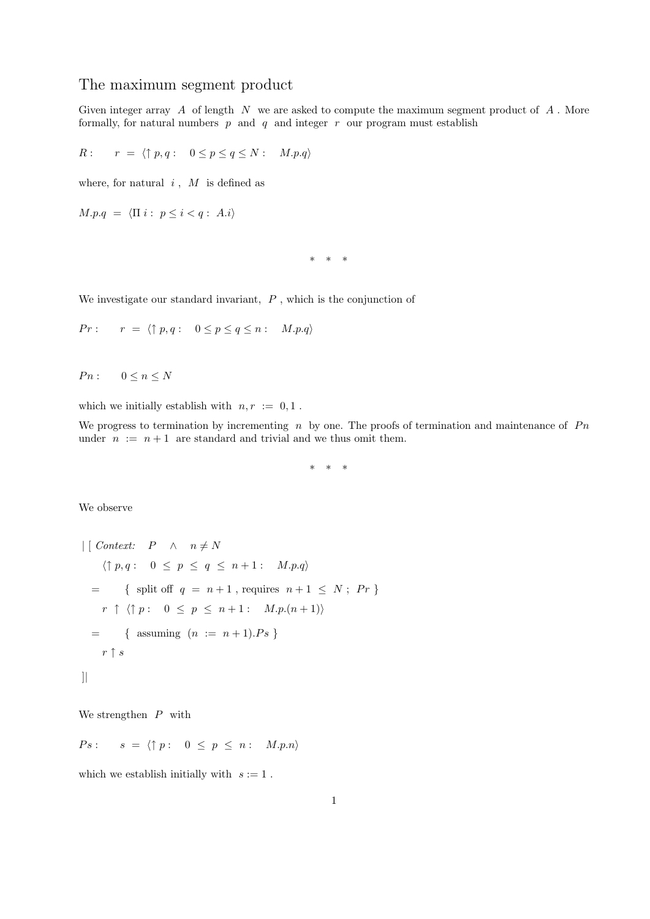## The maximum segment product

Given integer array  $A$  of length  $N$  we are asked to compute the maximum segment product of  $A$ . More formally, for natural numbers  $p$  and  $q$  and integer  $r$  our program must establish

 $R: r = \langle \uparrow p, q : 0 \leq p \leq q \leq N : M.p.q \rangle$ 

where, for natural  $i$ ,  $M$  is defined as

 $M.p.q = \langle \Pi i : p \leq i < q : A.i \rangle$ 

\* \* \*

We investigate our standard invariant,  $P$ , which is the conjunction of

$$
Pr: \qquad r = \langle \uparrow p, q: \quad 0 \le p \le q \le n: \quad M.p.q \rangle
$$

 $P n: \qquad 0 \leq n \leq N$ 

which we initially establish with  $n, r := 0, 1$ .

We progress to termination by incrementing n by one. The proofs of termination and maintenance of  $P_n$ under  $n := n + 1$  are standard and trivial and we thus omit them.

\* \* \*

We observe

$$
\begin{aligned}\n| \begin{bmatrix}\n \text{Context:} & P & \wedge & n \neq N \\
 \langle \uparrow p, q : & 0 \leq p \leq q \leq n+1 : & M.p.q \rangle\n \end{bmatrix} \\
&= \{ \text{ split off } q = n+1, \text{ requires } n+1 \leq N; \text{ } Pr \} \\
r \uparrow \langle \uparrow p : & 0 \leq p \leq n+1 : & M.p.(n+1) \rangle \\
&= \{ \text{ assuming } (n := n+1).Ps \} \\
r \uparrow s\n\end{bmatrix}\n\end{aligned}
$$

We strengthen  $P$  with

$$
Ps: \qquad s = \langle \uparrow p : \quad 0 \leq p \leq n : \quad M.p.n \rangle
$$

which we establish initially with  $s := 1$ .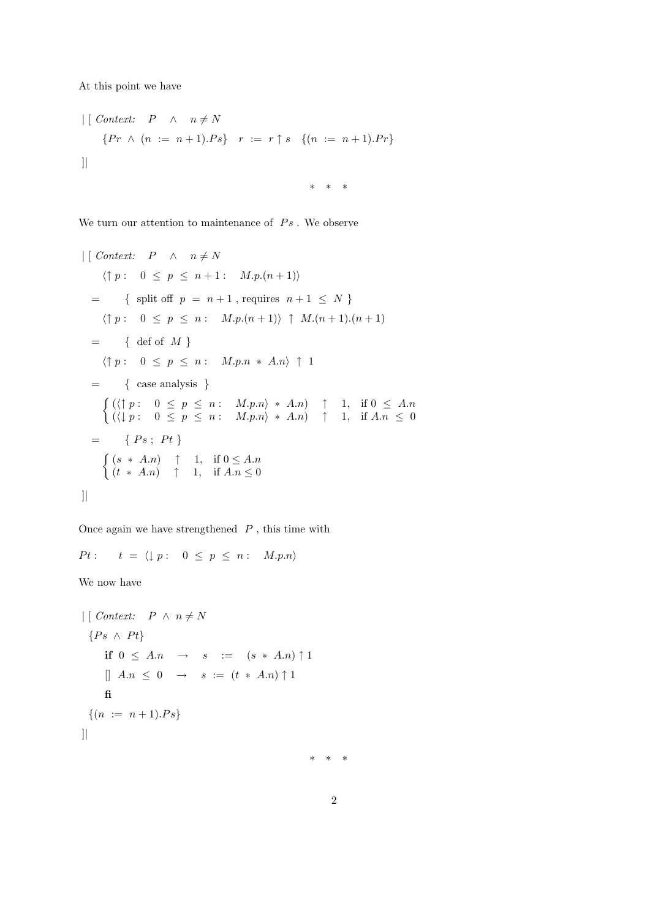At this point we have

$$
\begin{array}{ll}\n| \text{Context:} & P \land n \neq N \\
\{Pr \land (n := n + 1).Ps\} & r := r \uparrow s \quad \{(n := n + 1).Pr\} \\
\end{array}
$$

\* \* \*

We turn our attention to maintenance of  $Ps$  . We observe

$$
\left| \begin{array}{lll} \text{Context:} & P & \land & n \neq N \\ \langle \uparrow p : & 0 \leq p \leq n+1 : & M.p.(n+1) \rangle \end{array} \right|
$$
\n
$$
= \left\{ \text{ split off } p = n+1, \text{ requires } n+1 \leq N \right\}
$$
\n
$$
\left\langle \uparrow p : & 0 \leq p \leq n : & M.p.(n+1) \right\rangle \uparrow M.(n+1).(n+1)
$$
\n
$$
= \left\{ \text{ def of } M \right\}
$$
\n
$$
\left\langle \uparrow p : & 0 \leq p \leq n : & M.p.n \ast A.n \right\rangle \uparrow 1
$$
\n
$$
= \left\{ \text{ case analysis } \right\}
$$
\n
$$
\left\{ \left( \langle \uparrow p : & 0 \leq p \leq n : & M.p.n \rangle \ast A.n \right) \uparrow 1, \text{ if } 0 \leq A.n \\ \left( \langle \downarrow p : & 0 \leq p \leq n : & M.p.n \rangle \ast A.n \right) \uparrow 1, \text{ if } A.n \leq 0 \right\}
$$
\n
$$
= \left\{ Ps; Pt \right\}
$$
\n
$$
\left\{ \left( s \ast A.n \right) \uparrow 1, \text{ if } 0 \leq A.n \\ \left( t \ast A.n \right) \uparrow 1, \text{ if } A.n \leq 0 \right\}
$$

Once again we have strengthened  $\ P$  , this time with

$$
Pt: \qquad t = \langle \downarrow p : \quad 0 \leq p \leq n : \quad M.p.n \rangle
$$

We now have

$$
\begin{aligned}\n\mid \text{Context:} & P \land n \neq N \\
\{Ps \land Pt\} & \text{if } 0 \leq An \rightarrow s := (s * An) \uparrow 1 \\
\parallel An \leq 0 \rightarrow s := (t * An) \uparrow 1 \\
\text{fi} \\
\{(n := n + 1).Ps\} &\text{if } \text{if } n = 1 - 1. \text{else}\n\end{aligned}
$$

\* \* \*